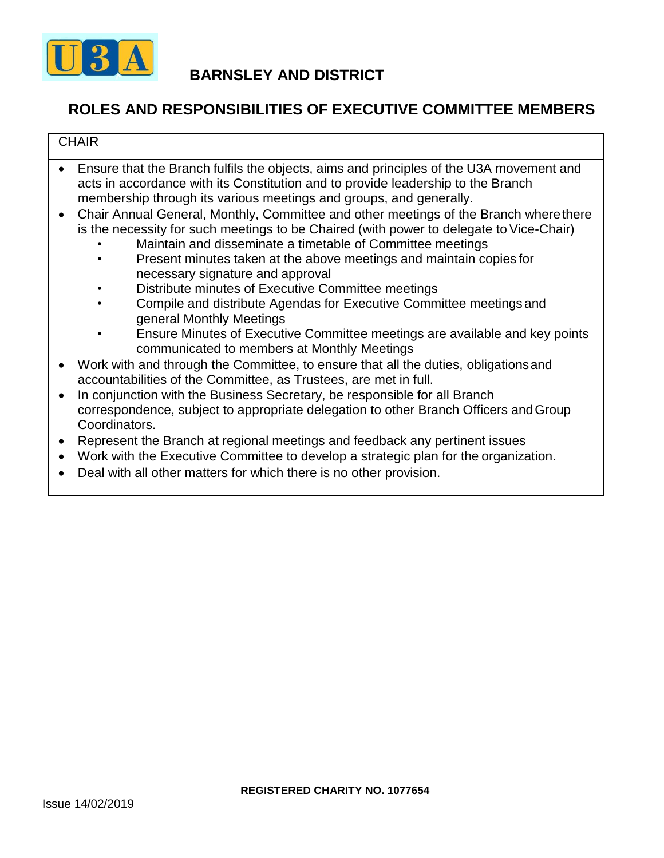

### **ROLES AND RESPONSIBILITIES OF EXECUTIVE COMMITTEE MEMBERS**

#### **CHAIR**

- Ensure that the Branch fulfils the objects, aims and principles of the U3A movement and acts in accordance with its Constitution and to provide leadership to the Branch membership through its various meetings and groups, and generally.
- Chair Annual General, Monthly, Committee and other meetings of the Branch wherethere is the necessity for such meetings to be Chaired (with power to delegate to Vice-Chair)
	- Maintain and disseminate a timetable of Committee meetings
	- Present minutes taken at the above meetings and maintain copies for necessary signature and approval
	- Distribute minutes of Executive Committee meetings
	- Compile and distribute Agendas for Executive Committee meetings and general Monthly Meetings
	- Ensure Minutes of Executive Committee meetings are available and key points communicated to members at Monthly Meetings
- Work with and through the Committee, to ensure that all the duties, obligationsand accountabilities of the Committee, as Trustees, are met in full.
- In conjunction with the Business Secretary, be responsible for all Branch correspondence, subject to appropriate delegation to other Branch Officers andGroup Coordinators.
- Represent the Branch at regional meetings and feedback any pertinent issues
- Work with the Executive Committee to develop a strategic plan for the organization.
- Deal with all other matters for which there is no other provision.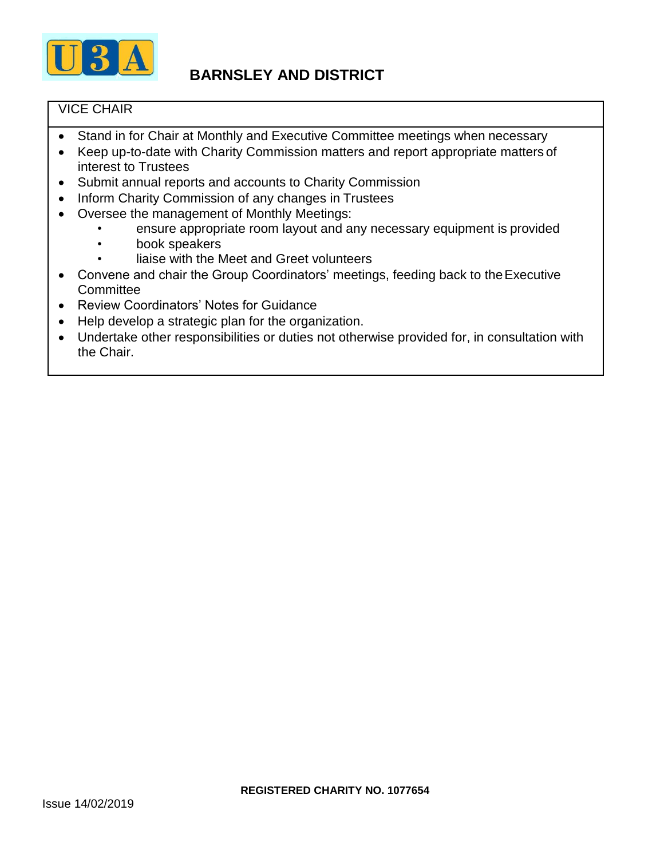

### VICE CHAIR

- Stand in for Chair at Monthly and Executive Committee meetings when necessary
- Keep up-to-date with Charity Commission matters and report appropriate matters of interest to Trustees
- Submit annual reports and accounts to Charity Commission
- Inform Charity Commission of any changes in Trustees
- Oversee the management of Monthly Meetings:
	- ensure appropriate room layout and any necessary equipment is provided
	- book speakers
	- liaise with the Meet and Greet volunteers
- Convene and chair the Group Coordinators' meetings, feeding back to the Executive **Committee**
- Review Coordinators' Notes for Guidance
- Help develop a strategic plan for the organization.
- Undertake other responsibilities or duties not otherwise provided for, in consultation with the Chair.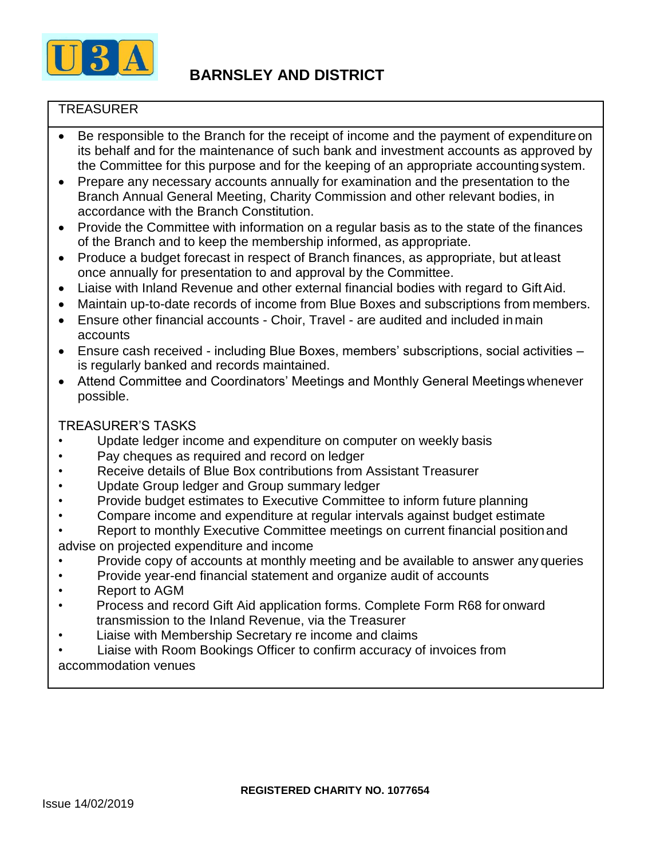

### **TREASURER**

- Be responsible to the Branch for the receipt of income and the payment of expenditure on its behalf and for the maintenance of such bank and investment accounts as approved by the Committee for this purpose and for the keeping of an appropriate accountingsystem.
- Prepare any necessary accounts annually for examination and the presentation to the Branch Annual General Meeting, Charity Commission and other relevant bodies, in accordance with the Branch Constitution.
- Provide the Committee with information on a regular basis as to the state of the finances of the Branch and to keep the membership informed, as appropriate.
- Produce a budget forecast in respect of Branch finances, as appropriate, but atleast once annually for presentation to and approval by the Committee.
- Liaise with Inland Revenue and other external financial bodies with regard to GiftAid.
- Maintain up-to-date records of income from Blue Boxes and subscriptions from members.
- Ensure other financial accounts Choir, Travel are audited and included in main accounts
- Ensure cash received including Blue Boxes, members' subscriptions, social activities is regularly banked and records maintained.
- Attend Committee and Coordinators' Meetings and Monthly General Meetings whenever possible.

### TREASURER'S TASKS

- Update ledger income and expenditure on computer on weekly basis
- Pay cheques as required and record on ledger
- Receive details of Blue Box contributions from Assistant Treasurer
- Update Group ledger and Group summary ledger
- Provide budget estimates to Executive Committee to inform future planning
- Compare income and expenditure at regular intervals against budget estimate
- Report to monthly Executive Committee meetings on current financial positionand advise on projected expenditure and income
- Provide copy of accounts at monthly meeting and be available to answer any queries
- Provide year-end financial statement and organize audit of accounts
- Report to AGM
- Process and record Gift Aid application forms. Complete Form R68 for onward transmission to the Inland Revenue, via the Treasurer
- Liaise with Membership Secretary re income and claims
- Liaise with Room Bookings Officer to confirm accuracy of invoices from accommodation venues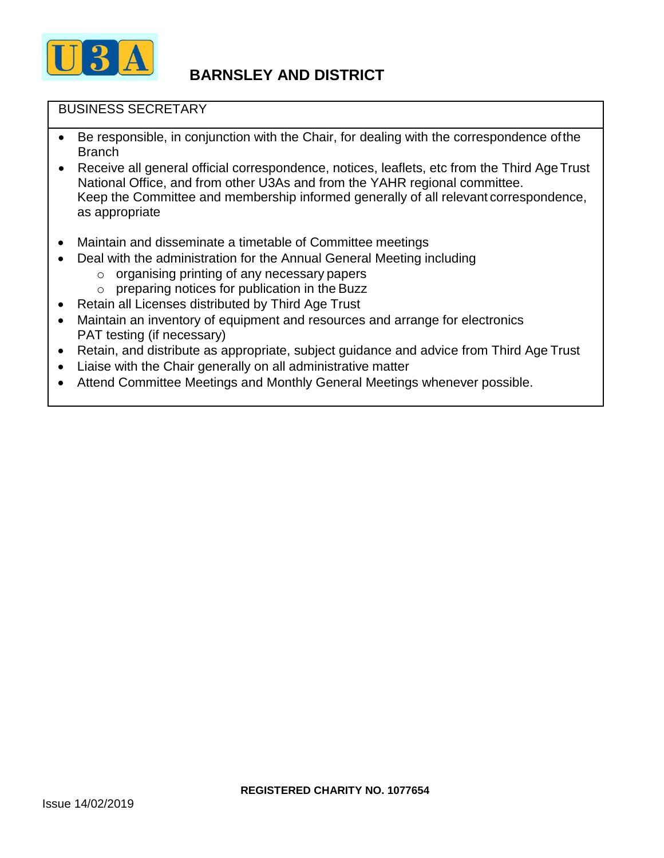

### BUSINESS SECRETARY

- Be responsible, in conjunction with the Chair, for dealing with the correspondence of the Branch
- Receive all general official correspondence, notices, leaflets, etc from the Third Age Trust National Office, and from other U3As and from the YAHR regional committee. Keep the Committee and membership informed generally of all relevant correspondence, as appropriate
- Maintain and disseminate a timetable of Committee meetings
- Deal with the administration for the Annual General Meeting including
	- $\circ$  organising printing of any necessary papers
	- o preparing notices for publication in the Buzz
- Retain all Licenses distributed by Third Age Trust
- Maintain an inventory of equipment and resources and arrange for electronics PAT testing (if necessary)
- Retain, and distribute as appropriate, subject guidance and advice from Third Age Trust
- Liaise with the Chair generally on all administrative matter
- Attend Committee Meetings and Monthly General Meetings whenever possible.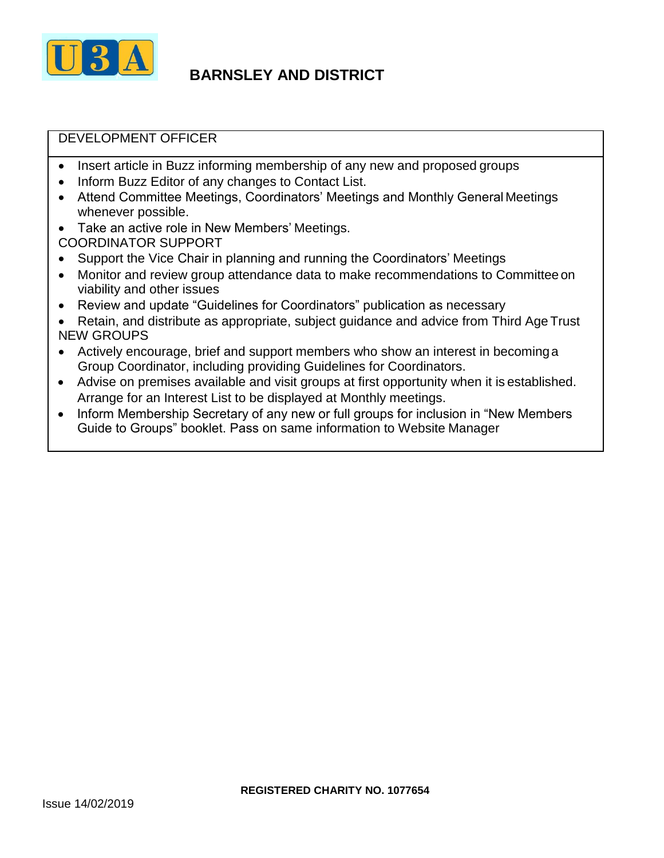

### DEVELOPMENT OFFICER

- Insert article in Buzz informing membership of any new and proposed groups
- Inform Buzz Editor of any changes to Contact List.
- Attend Committee Meetings, Coordinators' Meetings and Monthly General Meetings whenever possible.
- Take an active role in New Members' Meetings. COORDINATOR SUPPORT
- Support the Vice Chair in planning and running the Coordinators' Meetings
- Monitor and review group attendance data to make recommendations to Committeeon viability and other issues
- Review and update "Guidelines for Coordinators" publication as necessary
- Retain, and distribute as appropriate, subject guidance and advice from Third Age Trust NEW GROUPS
- Actively encourage, brief and support members who show an interest in becominga Group Coordinator, including providing Guidelines for Coordinators.
- Advise on premises available and visit groups at first opportunity when it is established. Arrange for an Interest List to be displayed at Monthly meetings.
- Inform Membership Secretary of any new or full groups for inclusion in "New Members Guide to Groups" booklet. Pass on same information to Website Manager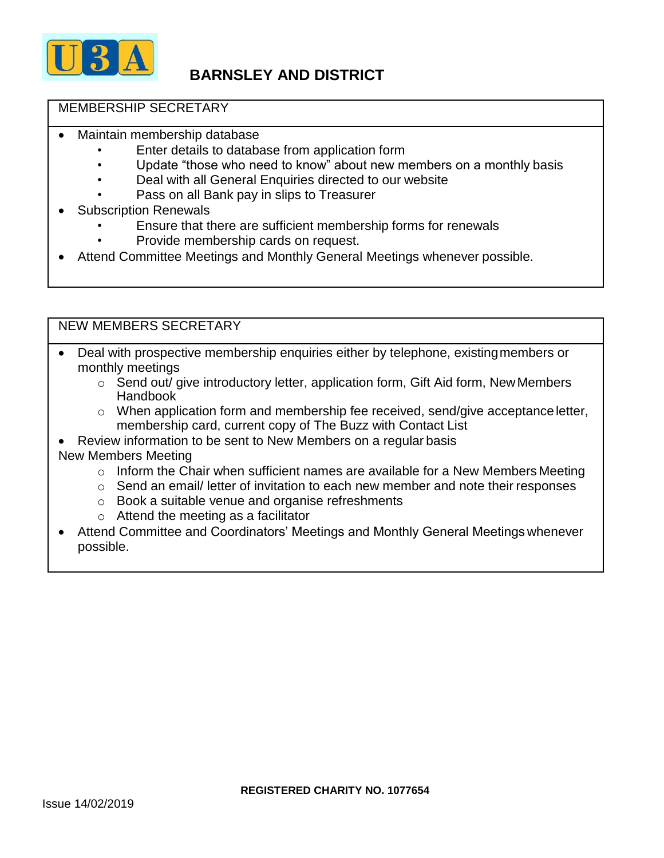

#### MEMBERSHIP SECRETARY

- Maintain membership database
	- Enter details to database from application form
	- Update "those who need to know" about new members on a monthly basis
	- Deal with all General Enquiries directed to our website
	- Pass on all Bank pay in slips to Treasurer
- **Subscription Renewals** 
	- Ensure that there are sufficient membership forms for renewals
	- Provide membership cards on request.
- Attend Committee Meetings and Monthly General Meetings whenever possible.

### NEW MEMBERS SECRETARY

- Deal with prospective membership enquiries either by telephone, existingmembers or monthly meetings
	- o Send out/ give introductory letter, application form, Gift Aid form, NewMembers Handbook
	- o When application form and membership fee received, send/give acceptanceletter, membership card, current copy of The Buzz with Contact List
- Review information to be sent to New Members on a regular basis New Members Meeting
	- o Inform the Chair when sufficient names are available for a New Members Meeting
	- o Send an email/ letter of invitation to each new member and note their responses
	- o Book a suitable venue and organise refreshments
	- $\circ$  Attend the meeting as a facilitator
- Attend Committee and Coordinators' Meetings and Monthly General Meetings whenever possible.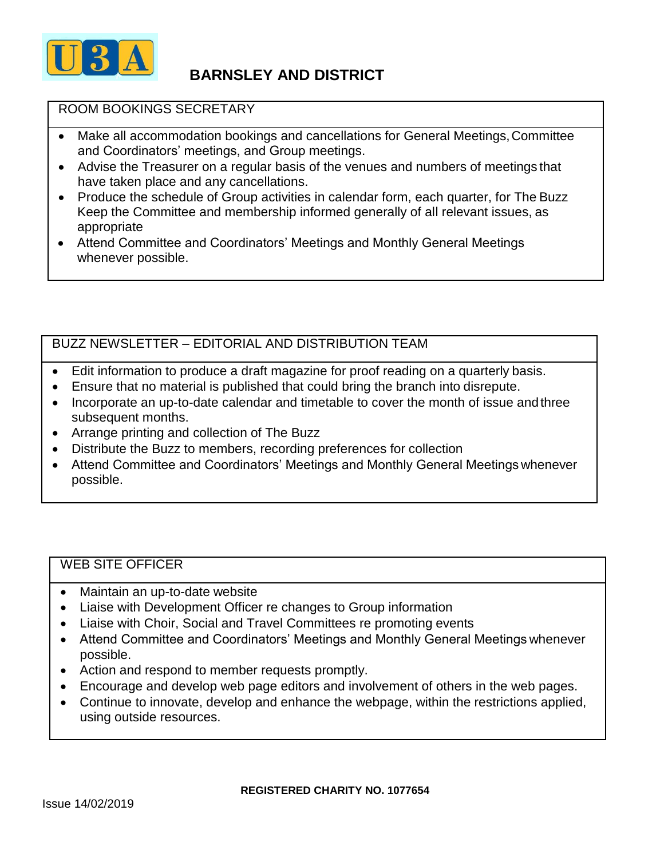

#### ROOM BOOKINGS SECRETARY

- Make all accommodation bookings and cancellations for General Meetings,Committee and Coordinators' meetings, and Group meetings.
- Advise the Treasurer on a regular basis of the venues and numbers of meetings that have taken place and any cancellations.
- Produce the schedule of Group activities in calendar form, each quarter, for The Buzz Keep the Committee and membership informed generally of all relevant issues, as appropriate
- Attend Committee and Coordinators' Meetings and Monthly General Meetings whenever possible.

### BUZZ NEWSLETTER – EDITORIAL AND DISTRIBUTION TEAM

- Edit information to produce a draft magazine for proof reading on a quarterly basis.
- Ensure that no material is published that could bring the branch into disrepute.
- Incorporate an up-to-date calendar and timetable to cover the month of issue and three subsequent months.
- Arrange printing and collection of The Buzz
- Distribute the Buzz to members, recording preferences for collection
- Attend Committee and Coordinators' Meetings and Monthly General Meetings whenever possible.

#### WEB SITE OFFICER

- Maintain an up-to-date website
- Liaise with Development Officer re changes to Group information
- Liaise with Choir, Social and Travel Committees re promoting events
- Attend Committee and Coordinators' Meetings and Monthly General Meetings whenever possible.
- Action and respond to member requests promptly.
- Encourage and develop web page editors and involvement of others in the web pages.
- Continue to innovate, develop and enhance the webpage, within the restrictions applied, using outside resources.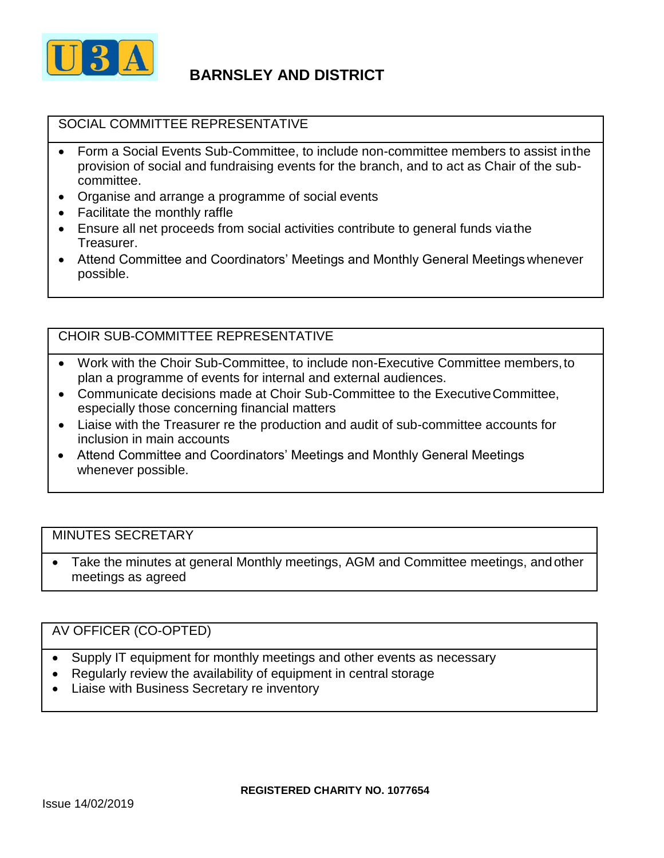

### SOCIAL COMMITTEE REPRESENTATIVE

- Form a Social Events Sub-Committee, to include non-committee members to assist inthe provision of social and fundraising events for the branch, and to act as Chair of the subcommittee.
- Organise and arrange a programme of social events
- Facilitate the monthly raffle
- Ensure all net proceeds from social activities contribute to general funds viathe Treasurer.
- Attend Committee and Coordinators' Meetings and Monthly General Meetings whenever possible.

### CHOIR SUB-COMMITTEE REPRESENTATIVE

- Work with the Choir Sub-Committee, to include non-Executive Committee members,to plan a programme of events for internal and external audiences.
- Communicate decisions made at Choir Sub-Committee to the ExecutiveCommittee, especially those concerning financial matters
- Liaise with the Treasurer re the production and audit of sub-committee accounts for inclusion in main accounts
- Attend Committee and Coordinators' Meetings and Monthly General Meetings whenever possible.

#### MINUTES SECRETARY

• Take the minutes at general Monthly meetings, AGM and Committee meetings, andother meetings as agreed

#### AV OFFICER (CO-OPTED)

- Supply IT equipment for monthly meetings and other events as necessary
- Regularly review the availability of equipment in central storage
- Liaise with Business Secretary re inventory